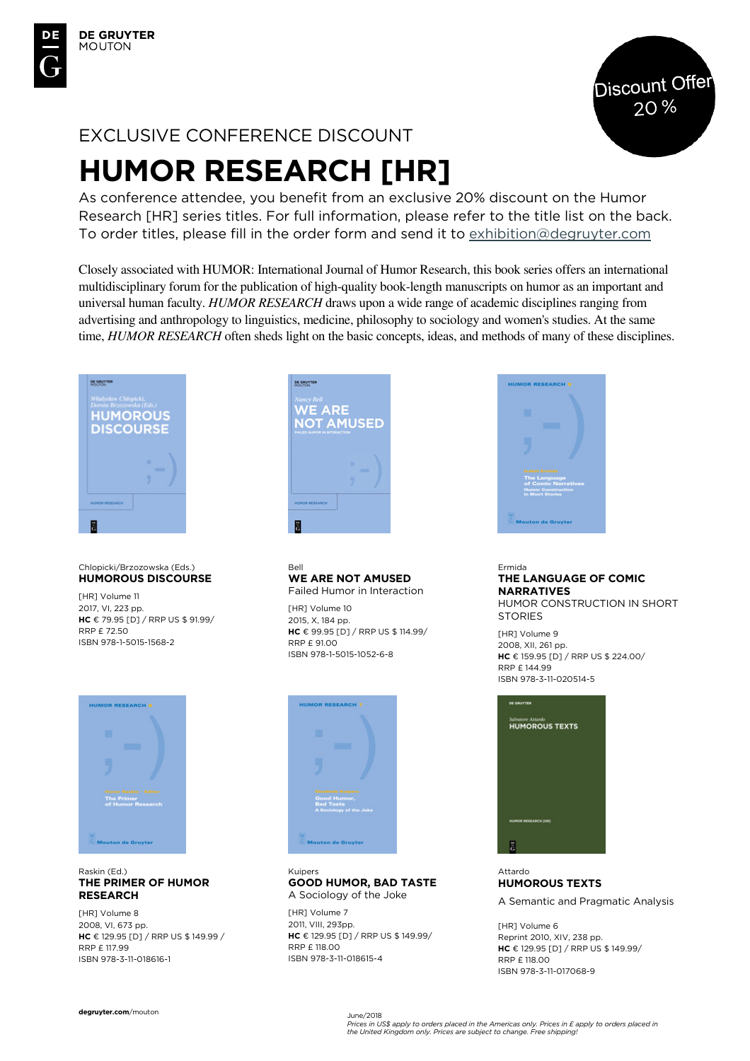

# EXCLUSIVE CONFERENCE DISCOUNT

# **HUMOR RESEARCH [HR]**

As conference attendee, you benefit from an exclusive 20% discount on the Humor Research [HR] series titles. For full information, please refer to the title list on the back. To order titles, please fill in the order form and send it to exhibition@degruyter.com

Closely associated with HUMOR: International Journal of Humor Research, this book series offers an international multidisciplinary forum for the publication of high-quality book-length manuscripts on humor as an important and universal human faculty. *HUMOR RESEARCH* draws upon a wide range of academic disciplines ranging from advertising and anthropology to linguistics, medicine, philosophy to sociology and women's studies. At the same time, *HUMOR RESEARCH* often sheds light on the basic concepts, ideas, and methods of many of these disciplines.



#### Chlopicki/Brzozowska (Eds.) **HUMOROUS DISCOURSE**

[HR] Volume 11 2017, VI, 223 pp. **HC** € 79.95 [D] / RRP US \$ 91.99/ RRP £ 72.50 ISBN 978-1-5015-1568-2



#### Raskin (Ed.) **THE PRIMER OF HUMOR RESEARCH**

[HR] Volume 8 2008, VI, 673 pp. **HC** € 129.95 [D] / RRP US \$ 149.99 / RRP £ 117.99 ISBN 978-3-11-018616-1



#### Bell **WE ARE NOT AMUSED**  Failed Humor in Interaction

[HR] Volume 10 2015, X, 184 pp. **HC** € 99.95 [D] / RRP US \$ 114.99/ RRP £ 91.00 ISBN 978-1-5015-1052-6-8



#### Kuipers **GOOD HUMOR, BAD TASTE**  A Sociology of the Joke

[HR] Volume 7 2011, VIII, 293pp. **HC** € 129.95 [D] / RRP US \$ 149.99/ RRP £ 118.00 ISBN 978-3-11-018615-4



### Ermida **THE LANGUAGE OF COMIC NARRATIVES**

HUMOR CONSTRUCTION IN SHORT **STORIES** 

[HR] Volume 9 2008, XII, 261 pp. **HC** € 159.95 [D] / RRP US \$ 224.00/ RRP £ 144.99 ISBN 978-3-11-020514-5



Attardo **HUMOROUS TEXTS** 

A Semantic and Pragmatic Analysis

[HR] Volume 6 Reprint 2010, XIV, 238 pp. **HC** € 129.95 [D] / RRP US \$ 149.99/ RRP £ 118.00 ISBN 978-3-11-017068-9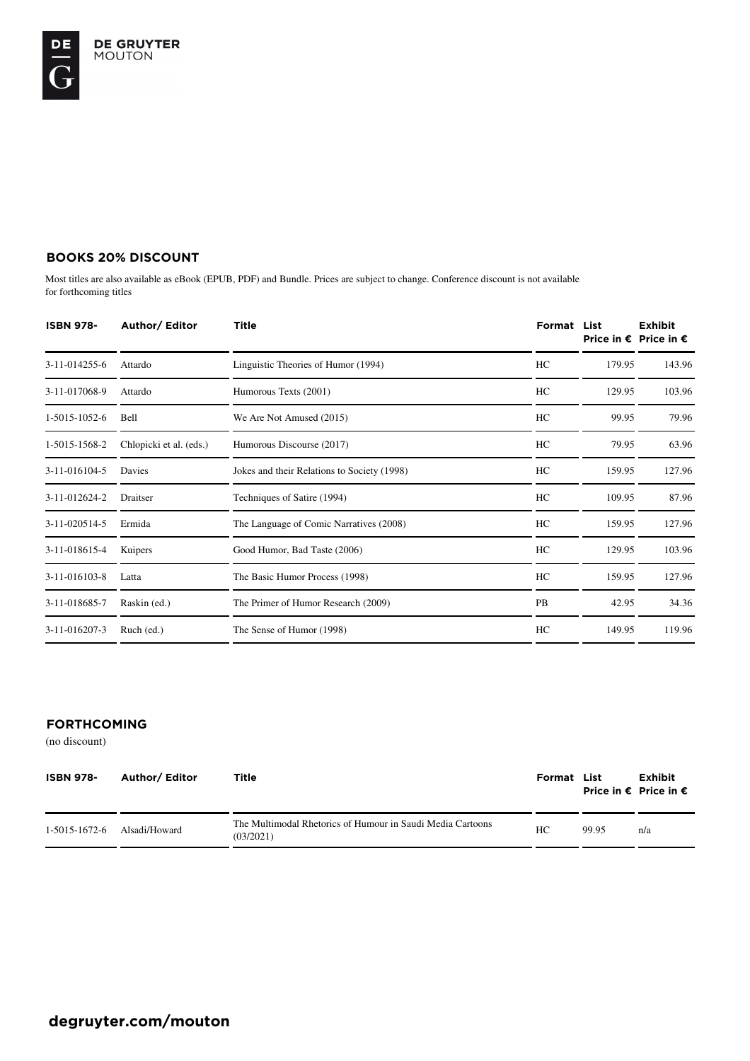## **BOOKS 20% DISCOUNT**

Most titles are also available as eBook (EPUB, PDF) and Bundle. Prices are subject to change. Conference discount is not available for forthcoming titles

| <b>ISBN 978-</b> | Author/ Editor          | Title                                       | Format    | List   | <b>Exhibit</b><br>Price in € Price in € |
|------------------|-------------------------|---------------------------------------------|-----------|--------|-----------------------------------------|
| 3-11-014255-6    | Attardo                 | Linguistic Theories of Humor (1994)         | HC        | 179.95 | 143.96                                  |
| 3-11-017068-9    | Attardo                 | Humorous Texts (2001)                       | HC        | 129.95 | 103.96                                  |
| 1-5015-1052-6    | Bell                    | We Are Not Amused (2015)                    | HC        | 99.95  | 79.96                                   |
| 1-5015-1568-2    | Chlopicki et al. (eds.) | Humorous Discourse (2017)                   | HC        | 79.95  | 63.96                                   |
| 3-11-016104-5    | Davies                  | Jokes and their Relations to Society (1998) | HC        | 159.95 | 127.96                                  |
| 3-11-012624-2    | Draitser                | Techniques of Satire (1994)                 | HC        | 109.95 | 87.96                                   |
| 3-11-020514-5    | Ermida                  | The Language of Comic Narratives (2008)     | HC        | 159.95 | 127.96                                  |
| 3-11-018615-4    | Kuipers                 | Good Humor, Bad Taste (2006)                | HC        | 129.95 | 103.96                                  |
| 3-11-016103-8    | Latta                   | The Basic Humor Process (1998)              | HC        | 159.95 | 127.96                                  |
| 3-11-018685-7    | Raskin (ed.)            | The Primer of Humor Research (2009)         | <b>PB</b> | 42.95  | 34.36                                   |
| 3-11-016207-3    | Ruch (ed.)              | The Sense of Humor (1998)                   | HC        | 149.95 | 119.96                                  |

## **FORTHCOMING**

(no discount)

| <b>ISBN 978-</b> | Author/ Editor | Title                                                                   | Format List |       | <b>Exhibit</b><br>Price in € Price in $€$ |
|------------------|----------------|-------------------------------------------------------------------------|-------------|-------|-------------------------------------------|
| 1-5015-1672-6    | Alsadi/Howard  | The Multimodal Rhetorics of Humour in Saudi Media Cartoons<br>(03/2021) | HC          | 99.95 | n/a                                       |